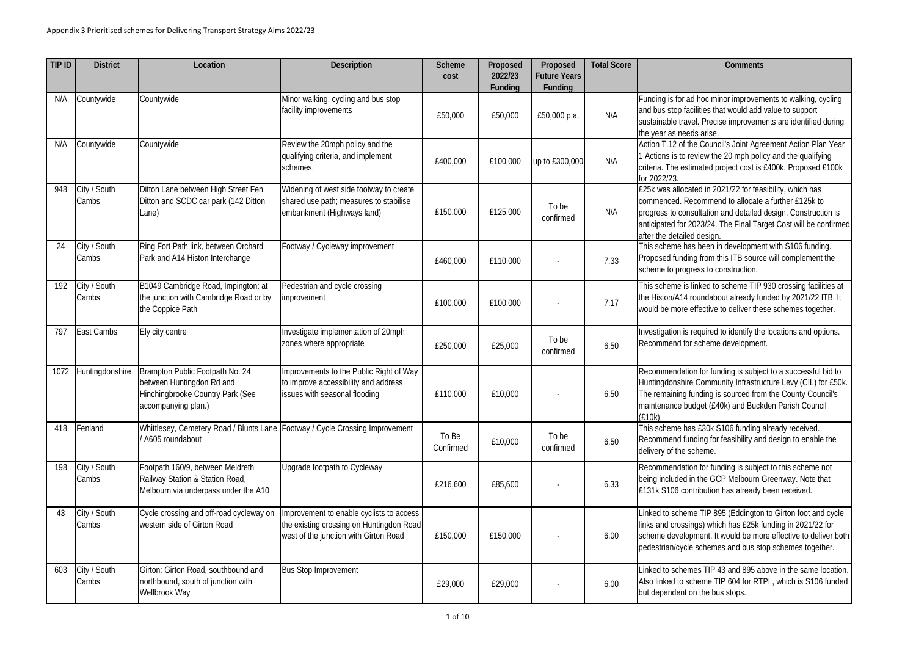## **Total Score Comments**

ad hoc minor improvements to walking, cycling facilities that would add value to support avel. Precise improvements are identified during eds arise.

the Council's Joint Agreement Action Plan Year I review the 20 mph policy and the qualifying stimated project cost is £400k. Proposed £100k

cated in 2021/22 for feasibility, which has Recommend to allocate a further £125k to pnsultation and detailed design. Construction is 2023/24. The Final Target Cost will be confirmed led design.

has been in development with S106 funding. ling from this ITB source will complement the ogress to construction.

is linked to scheme TIP 930 crossing facilities at 1 roundabout already funded by 2021/22 ITB. It e effective to deliver these schemes together.

is required to identify the locations and options. for scheme development.

ation for funding is subject to a successful bid to lire Community Infrastructure Levy (CIL) for £50k. funding is sourced from the County Council's .<br>budget (£40k) and Buckden Parish Council

has £30k S106 funding already received. funding for feasibility and design to enable the scheme.

tion for funding is subject to this scheme not I in the GCP Melbourn Greenway. Note that ontribution has already been received.

eme TIP 895 (Eddington to Girton foot and cycle sings) which has £25k funding in 2021/22 for opment. It would be more effective to deliver both cle schemes and bus stop schemes together.

emes TIP 43 and 895 above in the same location. scheme TIP 604 for RTPI, which is S106 funded on the bus stops.

| TIP ID | <b>District</b>       | Location                                                                                                                | <b>Description</b>                                                                                                            | <b>Scheme</b><br>cost | Proposed<br>2022/23<br><b>Funding</b> | Proposed<br><b>Future Years</b><br><b>Funding</b> | <b>Total Score</b> |                                                                                         |
|--------|-----------------------|-------------------------------------------------------------------------------------------------------------------------|-------------------------------------------------------------------------------------------------------------------------------|-----------------------|---------------------------------------|---------------------------------------------------|--------------------|-----------------------------------------------------------------------------------------|
| N/A    | Countywide            | Countywide                                                                                                              | Minor walking, cycling and bus stop<br>facility improvements                                                                  | £50,000               | £50,000                               | £50,000 p.a.                                      | N/A                | Funding is for<br>and bus stop f<br>sustainable tra<br>the year as ne                   |
| N/A    | Countywide            | Countywide                                                                                                              | Review the 20mph policy and the<br>qualifying criteria, and implement<br>schemes.                                             | £400,000              | £100,000                              | up to £300,000                                    | N/A                | Action T.12 of<br>1 Actions is to<br>criteria. The es<br>for 2022/23.                   |
| 948    | City / South<br>Cambs | Ditton Lane between High Street Fen<br>Ditton and SCDC car park (142 Ditton<br>Lane)                                    | Widening of west side footway to create<br>shared use path; measures to stabilise<br>embankment (Highways land)               | £150,000              | £125,000                              | To be<br>confirmed                                | N/A                | £25k was alloo<br>commenced. F<br>progress to co<br>anticipated for<br>after the detail |
| 24     | City / South<br>Cambs | Ring Fort Path link, between Orchard<br>Park and A14 Histon Interchange                                                 | Footway / Cycleway improvement                                                                                                | £460,000              | £110,000                              |                                                   | 7.33               | This scheme h<br>Proposed fund<br>scheme to pro                                         |
| 192    | City / South<br>Cambs | B1049 Cambridge Road, Impington: at<br>the junction with Cambridge Road or by<br>the Coppice Path                       | Pedestrian and cycle crossing<br>improvement                                                                                  | £100,000              | £100,000                              |                                                   | 7.17               | This scheme is<br>the Histon/A14<br>would be more                                       |
| 797    | East Cambs            | Ely city centre                                                                                                         | Investigate implementation of 20mph<br>zones where appropriate                                                                | £250,000              | £25,000                               | To be<br>confirmed                                | 6.50               | Investigation is<br>Recommend f                                                         |
| 1072   | Huntingdonshire       | Brampton Public Footpath No. 24<br>between Huntingdon Rd and<br>Hinchingbrooke Country Park (See<br>accompanying plan.) | Improvements to the Public Right of Way<br>to improve accessibility and address<br>issues with seasonal flooding              | £110,000              | £10,000                               |                                                   | 6.50               | Recommendat<br>Huntingdonshi<br>The remaining<br>maintenance b<br>$(E10k)$ .            |
| 418    | Fenland               | Whittlesey, Cemetery Road / Blunts Lane Footway / Cycle Crossing Improvement<br>A605 roundabout                         |                                                                                                                               | To Be<br>Confirmed    | £10,000                               | To be<br>confirmed                                | 6.50               | This scheme h<br>Recommend f<br>delivery of the                                         |
| 198    | City / South<br>Cambs | Footpath 160/9, between Meldreth<br>Railway Station & Station Road,<br>Melbourn via underpass under the A10             | Upgrade footpath to Cycleway                                                                                                  | £216,600              | £85,600                               |                                                   | 6.33               | Recommendat<br>being included<br>£131k S106 co                                          |
| 43     | City / South<br>Cambs | Cycle crossing and off-road cycleway on<br>western side of Girton Road                                                  | Improvement to enable cyclists to access<br>the existing crossing on Huntingdon Road<br>west of the junction with Girton Road | £150,000              | £150,000                              |                                                   | 6.00               | Linked to sche<br>links and cross<br>scheme devel<br>pedestrian/cyc                     |
| 603    | City / South<br>Cambs | Girton: Girton Road, southbound and<br>northbound, south of junction with<br>Wellbrook Way                              | <b>Bus Stop Improvement</b>                                                                                                   | £29,000               | £29,000                               |                                                   | 6.00               | Linked to sche<br>Also linked to:<br>but dependent                                      |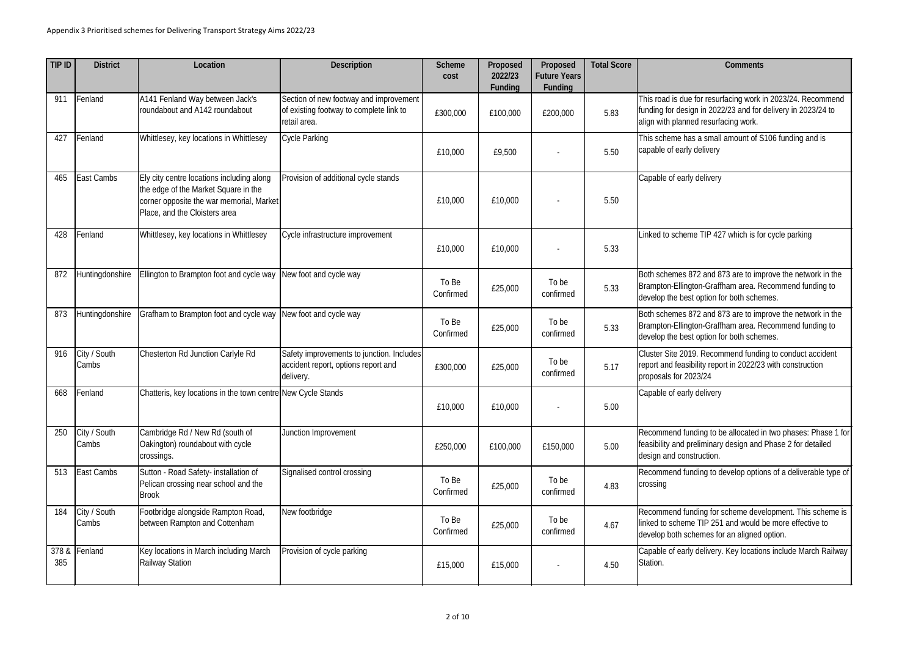## **Total Score Comments**

ue for resurfacing work in 2023/24. Recommend sign in 2022/23 and for delivery in 2023/24 to aned resurfacing work.

has a small amount of S106 funding and is ly delivery

rly delivery

eme TIP 427 which is for cycle parking

s 872 and 873 are to improve the network in the ngton-Graffham area. Recommend funding to est option for both schemes.

Both schemes 872 and 873 are to improve the network in the ngton-Graffham area. Recommend funding to est option for both schemes.

019. Recommend funding to conduct accident sibility report in 2022/23 with construction proposals for 2023/24

rly delivery

funding to be allocated in two phases: Phase 1 for preliminary design and Phase 2 for detailed nstruction.

funding to develop options of a deliverable type of

funding for scheme development. This scheme is me TIP 251 and would be more effective to schemes for an aligned option.

rly delivery. Key locations include March Railway

| TIP ID       | <b>District</b>       | Location                                                                                                                                                       | <b>Description</b>                                                                                | <b>Scheme</b><br>cost | Proposed<br>2022/23<br><b>Funding</b> | Proposed<br><b>Future Years</b><br>Funding | <b>Total Score</b> |                                                                |
|--------------|-----------------------|----------------------------------------------------------------------------------------------------------------------------------------------------------------|---------------------------------------------------------------------------------------------------|-----------------------|---------------------------------------|--------------------------------------------|--------------------|----------------------------------------------------------------|
| 911          | Fenland               | A141 Fenland Way between Jack's<br>roundabout and A142 roundabout                                                                                              | Section of new footway and improvement<br>of existing footway to complete link to<br>retail area. | £300,000              | £100,000                              | £200,000                                   | 5.83               | This road is du<br>funding for des<br>align with plan          |
| 427          | Fenland               | Whittlesey, key locations in Whittlesey                                                                                                                        | <b>Cycle Parking</b>                                                                              | £10,000               | £9,500                                |                                            | 5.50               | This scheme h<br>capable of ear                                |
| 465          | East Cambs            | Ely city centre locations including along<br>the edge of the Market Square in the<br>corner opposite the war memorial, Market<br>Place, and the Cloisters area | Provision of additional cycle stands                                                              | £10,000               | £10,000                               |                                            | 5.50               | Capable of ear                                                 |
| 428          | Fenland               | Whittlesey, key locations in Whittlesey                                                                                                                        | Cycle infrastructure improvement                                                                  | £10,000               | £10,000                               |                                            | 5.33               | Linked to sche                                                 |
| 872          | Huntingdonshire       | Ellington to Brampton foot and cycle way                                                                                                                       | New foot and cycle way                                                                            | To Be<br>Confirmed    | £25,000                               | To be<br>confirmed                         | 5.33               | <b>Both schemes</b><br><b>Brampton-Ellin</b><br>develop the be |
| 873          | Huntingdonshire       | Grafham to Brampton foot and cycle way                                                                                                                         | New foot and cycle way                                                                            | To Be<br>Confirmed    | £25,000                               | To be<br>confirmed                         | 5.33               | <b>Both schemes</b><br><b>Brampton-Ellin</b><br>develop the be |
| 916          | City / South<br>Cambs | Chesterton Rd Junction Carlyle Rd                                                                                                                              | Safety improvements to junction. Includes<br>accident report, options report and<br>delivery.     | £300,000              | £25,000                               | To be<br>confirmed                         | 5.17               | Cluster Site 20<br>report and feas<br>proposals for 2          |
| 668          | Fenland               | Chatteris, key locations in the town centre New Cycle Stands                                                                                                   |                                                                                                   | £10,000               | £10,000                               |                                            | 5.00               | Capable of ear                                                 |
| 250          | City / South<br>Cambs | Cambridge Rd / New Rd (south of<br>Oakington) roundabout with cycle<br>crossings.                                                                              | Junction Improvement                                                                              | £250,000              | £100,000                              | £150,000                                   | 5.00               | Recommend fi<br>feasibility and<br>design and cor              |
| 513          | East Cambs            | Sutton - Road Safety- installation of<br>Pelican crossing near school and the<br><b>Brook</b>                                                                  | Signalised control crossing                                                                       | To Be<br>Confirmed    | £25,000                               | To be<br>confirmed                         | 4.83               | Recommend fu<br>crossing                                       |
| 184          | City / South<br>Cambs | Footbridge alongside Rampton Road,<br>between Rampton and Cottenham                                                                                            | New footbridge                                                                                    | To Be<br>Confirmed    | £25,000                               | To be<br>confirmed                         | 4.67               | Recommend fi<br>linked to scher<br>develop both s              |
| 378 &<br>385 | Fenland               | Key locations in March including March<br><b>Railway Station</b>                                                                                               | Provision of cycle parking                                                                        | £15,000               | £15,000                               |                                            | 4.50               | Capable of ear<br>Station.                                     |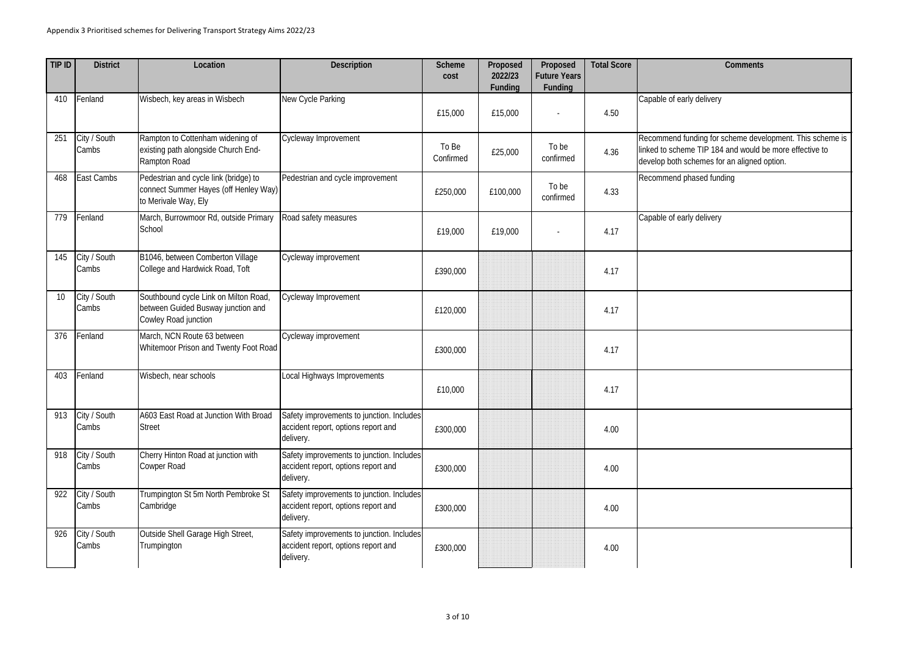| <b>Comments</b>                                                                                                                                                    |  |  |  |  |  |
|--------------------------------------------------------------------------------------------------------------------------------------------------------------------|--|--|--|--|--|
|                                                                                                                                                                    |  |  |  |  |  |
| Capable of early delivery                                                                                                                                          |  |  |  |  |  |
|                                                                                                                                                                    |  |  |  |  |  |
| Recommend funding for scheme development. This scheme is<br>linked to scheme TIP 184 and would be more effective to<br>develop both schemes for an aligned option. |  |  |  |  |  |
| Recommend phased funding                                                                                                                                           |  |  |  |  |  |
| Capable of early delivery                                                                                                                                          |  |  |  |  |  |
|                                                                                                                                                                    |  |  |  |  |  |
|                                                                                                                                                                    |  |  |  |  |  |
|                                                                                                                                                                    |  |  |  |  |  |
|                                                                                                                                                                    |  |  |  |  |  |
|                                                                                                                                                                    |  |  |  |  |  |
|                                                                                                                                                                    |  |  |  |  |  |
|                                                                                                                                                                    |  |  |  |  |  |
|                                                                                                                                                                    |  |  |  |  |  |

| TIP ID | <b>District</b>       | Location                                                                                               | <b>Description</b>                                                                            | <b>Scheme</b><br>cost | Proposed<br>2022/23<br><b>Funding</b> | Proposed<br><b>Future Years</b><br><b>Funding</b> | <b>Total Score</b> | Comments                                                                                                         |
|--------|-----------------------|--------------------------------------------------------------------------------------------------------|-----------------------------------------------------------------------------------------------|-----------------------|---------------------------------------|---------------------------------------------------|--------------------|------------------------------------------------------------------------------------------------------------------|
| 410    | Fenland               | Wisbech, key areas in Wisbech                                                                          | New Cycle Parking                                                                             | £15,000               | £15,000                               |                                                   | 4.50               | Capable of early delivery                                                                                        |
| 251    | City / South<br>Cambs | Rampton to Cottenham widening of<br>existing path alongside Church End-<br>Rampton Road                | Cycleway Improvement                                                                          | To Be<br>Confirmed    | £25,000                               | To be<br>confirmed                                | 4.36               | Recommend funding for scheme deve<br>linked to scheme TIP 184 and would I<br>develop both schemes for an aligned |
| 468    | East Cambs            | Pedestrian and cycle link (bridge) to<br>connect Summer Hayes (off Henley Way)<br>to Merivale Way, Ely | Pedestrian and cycle improvement                                                              | £250,000              | £100,000                              | To be<br>confirmed                                | 4.33               | Recommend phased funding                                                                                         |
| 779    | Fenland               | March, Burrowmoor Rd, outside Primary<br>School                                                        | Road safety measures                                                                          | £19,000               | £19,000                               |                                                   | 4.17               | Capable of early delivery                                                                                        |
| 145    | City / South<br>Cambs | B1046, between Comberton Village<br>College and Hardwick Road, Toft                                    | Cycleway improvement                                                                          | £390,000              |                                       |                                                   | 4.17               |                                                                                                                  |
| 10     | City / South<br>Cambs | Southbound cycle Link on Milton Road,<br>between Guided Busway junction and<br>Cowley Road junction    | Cycleway Improvement                                                                          | £120,000              |                                       |                                                   | 4.17               |                                                                                                                  |
| 376    | Fenland               | March, NCN Route 63 between<br>Whitemoor Prison and Twenty Foot Road                                   | Cycleway improvement                                                                          | £300,000              |                                       |                                                   | 4.17               |                                                                                                                  |
| 403    | Fenland               | Wisbech, near schools                                                                                  | Local Highways Improvements                                                                   | £10,000               |                                       |                                                   | 4.17               |                                                                                                                  |
| 913    | City / South<br>Cambs | A603 East Road at Junction With Broad<br><b>Street</b>                                                 | Safety improvements to junction. Includes<br>accident report, options report and<br>delivery. | £300,000              |                                       |                                                   | 4.00               |                                                                                                                  |
| 918    | City / South<br>Cambs | Cherry Hinton Road at junction with<br><b>Cowper Road</b>                                              | Safety improvements to junction. Includes<br>accident report, options report and<br>delivery. | £300,000              |                                       |                                                   | 4.00               |                                                                                                                  |
| 922    | City / South<br>Cambs | Trumpington St 5m North Pembroke St<br>Cambridge                                                       | Safety improvements to junction. Includes<br>accident report, options report and<br>delivery. | £300,000              |                                       |                                                   | 4.00               |                                                                                                                  |
| 926    | City / South<br>Cambs | Outside Shell Garage High Street,<br>Trumpington                                                       | Safety improvements to junction. Includes<br>accident report, options report and<br>delivery. | £300,000              |                                       |                                                   | 4.00               |                                                                                                                  |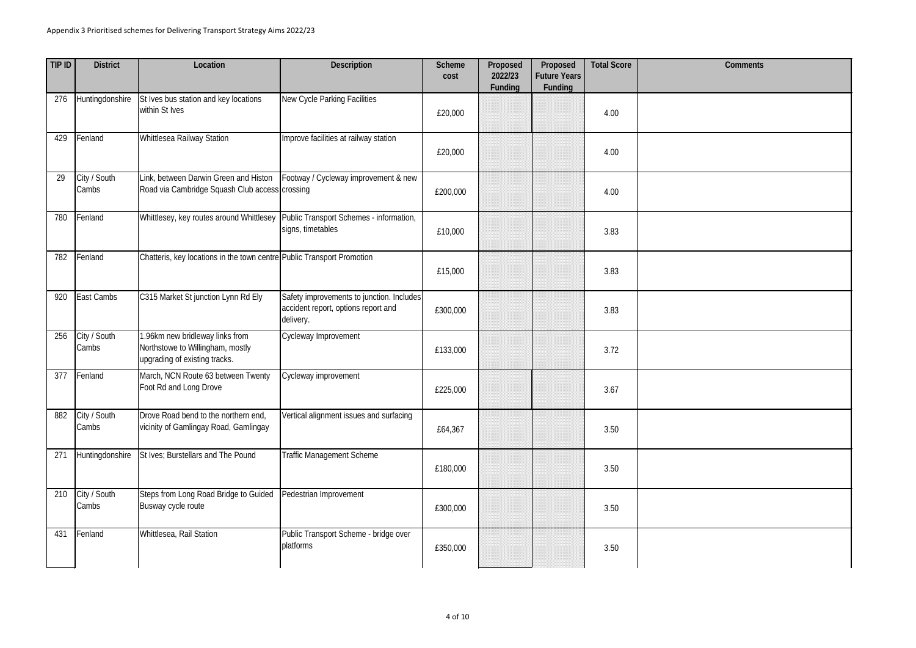| TIP ID | <b>District</b>       | Location                                                                                             | <b>Description</b>                                                                            | <b>Scheme</b><br>cost | Proposed<br>2022/23<br>Funding | Proposed<br><b>Future Years</b><br><b>Funding</b> | <b>Total Score</b> | Comments |
|--------|-----------------------|------------------------------------------------------------------------------------------------------|-----------------------------------------------------------------------------------------------|-----------------------|--------------------------------|---------------------------------------------------|--------------------|----------|
| 276    | Huntingdonshire       | St Ives bus station and key locations<br>within St Ives                                              | New Cycle Parking Facilities                                                                  | £20,000               |                                |                                                   | 4.00               |          |
| 429    | Fenland               | Whittlesea Railway Station                                                                           | Improve facilities at railway station                                                         | £20,000               |                                |                                                   | 4.00               |          |
| 29     | City / South<br>Cambs | Link, between Darwin Green and Histon<br>Road via Cambridge Squash Club access crossing              | Footway / Cycleway improvement & new                                                          | £200,000              |                                |                                                   | 4.00               |          |
| 780    | Fenland               | Whittlesey, key routes around Whittlesey                                                             | Public Transport Schemes - information,<br>signs, timetables                                  | £10,000               |                                |                                                   | 3.83               |          |
| 782    | Fenland               | Chatteris, key locations in the town centre Public Transport Promotion                               |                                                                                               | £15,000               |                                |                                                   | 3.83               |          |
| 920    | East Cambs            | C315 Market St junction Lynn Rd Ely                                                                  | Safety improvements to junction. Includes<br>accident report, options report and<br>delivery. | £300,000              |                                |                                                   | 3.83               |          |
| 256    | City / South<br>Cambs | 1.96km new bridleway links from<br>Northstowe to Willingham, mostly<br>upgrading of existing tracks. | Cycleway Improvement                                                                          | £133,000              |                                |                                                   | 3.72               |          |
| 377    | Fenland               | March, NCN Route 63 between Twenty<br>Foot Rd and Long Drove                                         | Cycleway improvement                                                                          | £225,000              |                                |                                                   | 3.67               |          |
| 882    | City / South<br>Cambs | Drove Road bend to the northern end,<br>vicinity of Gamlingay Road, Gamlingay                        | Vertical alignment issues and surfacing                                                       | £64,367               |                                |                                                   | 3.50               |          |
| 271    | Huntingdonshire       | St Ives; Burstellars and The Pound                                                                   | <b>Traffic Management Scheme</b>                                                              | £180,000              |                                |                                                   | 3.50               |          |
| 210    | City / South<br>Cambs | Steps from Long Road Bridge to Guided<br>Busway cycle route                                          | Pedestrian Improvement                                                                        | £300,000              |                                |                                                   | 3.50               |          |
| 431    | Fenland               | Whittlesea, Rail Station                                                                             | Public Transport Scheme - bridge over<br>platforms                                            | £350,000              |                                |                                                   | 3.50               |          |

| <b>Comments</b> |
|-----------------|
|                 |
|                 |
|                 |
|                 |
|                 |
|                 |
|                 |
|                 |
|                 |
|                 |
|                 |
|                 |
|                 |
|                 |
|                 |
|                 |
|                 |
|                 |
|                 |
|                 |
|                 |
|                 |
|                 |
|                 |
|                 |
|                 |
|                 |
|                 |
|                 |
|                 |
|                 |
|                 |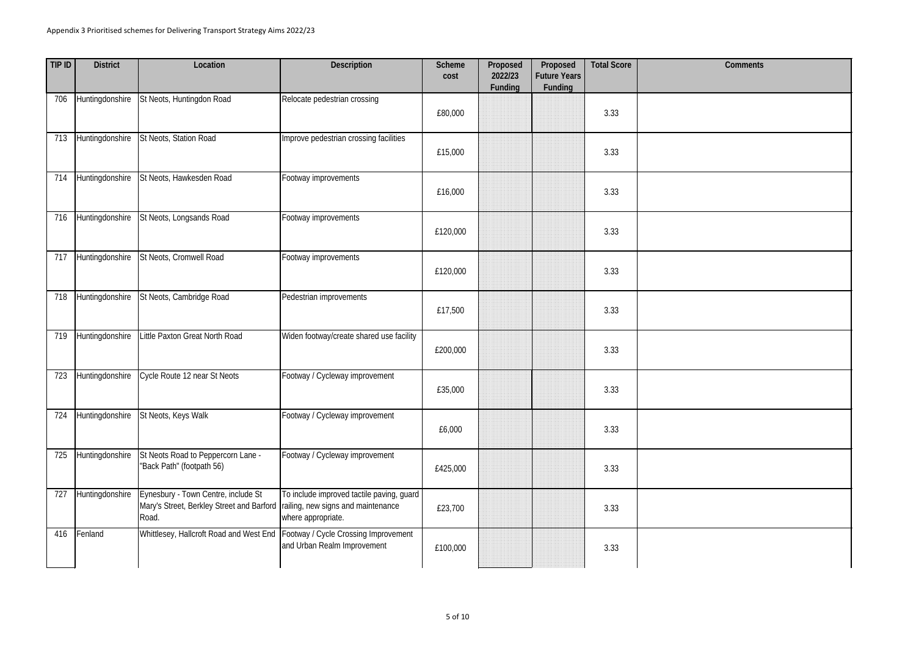| TIP ID | <b>District</b> | Location                                                                                  | <b>Description</b>                                                                                    | <b>Scheme</b><br>cost | Proposed<br>2022/23<br><b>Funding</b> | Proposed<br><b>Future Years</b><br><b>Funding</b> | <b>Total Score</b> | <b>Comments</b> |
|--------|-----------------|-------------------------------------------------------------------------------------------|-------------------------------------------------------------------------------------------------------|-----------------------|---------------------------------------|---------------------------------------------------|--------------------|-----------------|
| 706    | Huntingdonshire | St Neots, Huntingdon Road                                                                 | Relocate pedestrian crossing                                                                          | £80,000               |                                       |                                                   | 3.33               |                 |
| 713    | Huntingdonshire | St Neots, Station Road                                                                    | Improve pedestrian crossing facilities                                                                | £15,000               |                                       |                                                   | 3.33               |                 |
| 714    | Huntingdonshire | St Neots, Hawkesden Road                                                                  | Footway improvements                                                                                  | £16,000               |                                       |                                                   | 3.33               |                 |
| 716    | Huntingdonshire | St Neots, Longsands Road                                                                  | Footway improvements                                                                                  | £120,000              |                                       |                                                   | 3.33               |                 |
| 717    | Huntingdonshire | St Neots, Cromwell Road                                                                   | Footway improvements                                                                                  | £120,000              |                                       |                                                   | 3.33               |                 |
| 718    | Huntingdonshire | St Neots, Cambridge Road                                                                  | Pedestrian improvements                                                                               | £17,500               |                                       |                                                   | 3.33               |                 |
| 719    | Huntingdonshire | Little Paxton Great North Road                                                            | Widen footway/create shared use facility                                                              | £200,000              |                                       |                                                   | 3.33               |                 |
| 723    | Huntingdonshire | Cycle Route 12 near St Neots                                                              | Footway / Cycleway improvement                                                                        | £35,000               |                                       |                                                   | 3.33               |                 |
| 724    | Huntingdonshire | St Neots, Keys Walk                                                                       | Footway / Cycleway improvement                                                                        | £6,000                |                                       |                                                   | 3.33               |                 |
| 725    | Huntingdonshire | St Neots Road to Peppercorn Lane -<br>"Back Path" (footpath 56)                           | Footway / Cycleway improvement                                                                        | £425,000              |                                       |                                                   | 3.33               |                 |
| 727    | Huntingdonshire | Eynesbury - Town Centre, include St<br>Mary's Street, Berkley Street and Barford<br>Road. | To include improved tactile paving, guard<br>railing, new signs and maintenance<br>where appropriate. | £23,700               |                                       |                                                   | 3.33               |                 |
| 416    | Fenland         | Whittlesey, Hallcroft Road and West End                                                   | Footway / Cycle Crossing Improvement<br>and Urban Realm Improvement                                   | £100,000              |                                       |                                                   | 3.33               |                 |

| <b>Comments</b> |
|-----------------|
|                 |
|                 |
|                 |
|                 |
|                 |
|                 |
|                 |
|                 |
|                 |
|                 |
|                 |
|                 |
|                 |
|                 |
|                 |
|                 |
|                 |
|                 |
|                 |
|                 |
|                 |
|                 |
|                 |
|                 |
|                 |
|                 |
|                 |
|                 |
|                 |
|                 |
|                 |
|                 |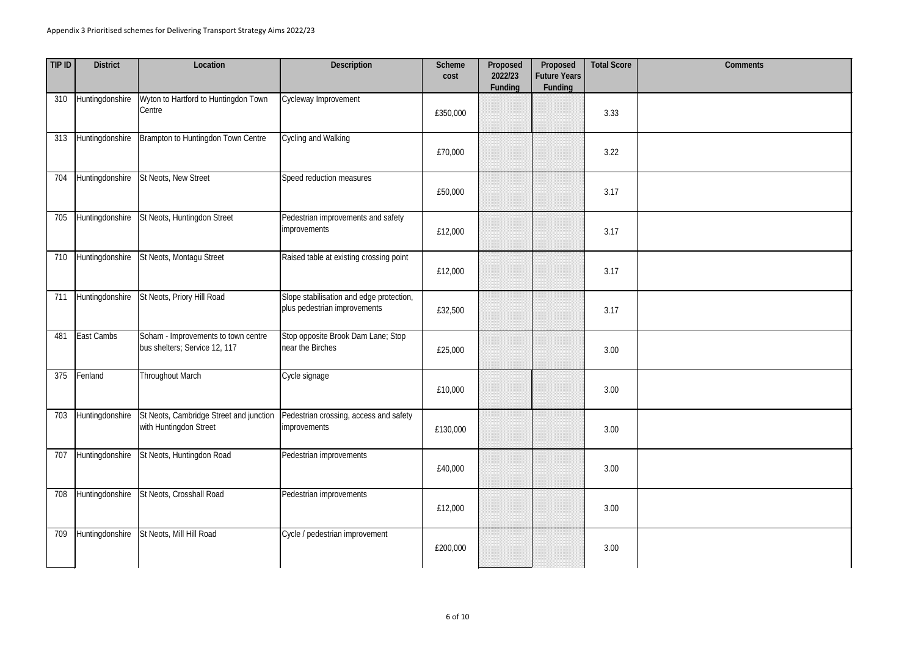| TIP ID | <b>District</b> | Location                                                             | <b>Description</b>                                                       | <b>Scheme</b><br>cost | Proposed<br>2022/23<br>Funding | Proposed<br><b>Future Years</b><br><b>Funding</b> | <b>Total Score</b> | Comments |
|--------|-----------------|----------------------------------------------------------------------|--------------------------------------------------------------------------|-----------------------|--------------------------------|---------------------------------------------------|--------------------|----------|
| 310    | Huntingdonshire | Wyton to Hartford to Huntingdon Town<br>Centre                       | Cycleway Improvement                                                     | £350,000              |                                |                                                   | 3.33               |          |
| 313    | Huntingdonshire | Brampton to Huntingdon Town Centre                                   | Cycling and Walking                                                      | £70,000               |                                |                                                   | 3.22               |          |
| 704    | Huntingdonshire | St Neots, New Street                                                 | Speed reduction measures                                                 | £50,000               |                                |                                                   | 3.17               |          |
| 705    | Huntingdonshire | St Neots, Huntingdon Street                                          | Pedestrian improvements and safety<br><i>improvements</i>                | £12,000               |                                |                                                   | 3.17               |          |
| 710    | Huntingdonshire | St Neots, Montagu Street                                             | Raised table at existing crossing point                                  | £12,000               |                                |                                                   | 3.17               |          |
| 711    | Huntingdonshire | St Neots, Priory Hill Road                                           | Slope stabilisation and edge protection,<br>plus pedestrian improvements | £32,500               |                                |                                                   | 3.17               |          |
| 481    | East Cambs      | Soham - Improvements to town centre<br>bus shelters; Service 12, 117 | Stop opposite Brook Dam Lane; Stop<br>near the Birches                   | £25,000               |                                |                                                   | 3.00               |          |
| 375    | Fenland         | Throughout March                                                     | Cycle signage                                                            | £10,000               |                                |                                                   | 3.00               |          |
| 703    | Huntingdonshire | St Neots, Cambridge Street and junction<br>with Huntingdon Street    | Pedestrian crossing, access and safety<br>improvements                   | £130,000              |                                |                                                   | 3.00               |          |
| 707    | Huntingdonshire | St Neots, Huntingdon Road                                            | Pedestrian improvements                                                  | £40,000               |                                |                                                   | 3.00               |          |
| 708    | Huntingdonshire | St Neots, Crosshall Road                                             | Pedestrian improvements                                                  | £12,000               |                                |                                                   | 3.00               |          |
| 709    | Huntingdonshire | St Neots, Mill Hill Road                                             | Cycle / pedestrian improvement                                           | £200,000              |                                |                                                   | 3.00               |          |

| <b>Comments</b> |
|-----------------|
|                 |
|                 |
|                 |
|                 |
|                 |
|                 |
|                 |
|                 |
|                 |
|                 |
|                 |
|                 |
|                 |
|                 |
|                 |
|                 |
|                 |
|                 |
|                 |
|                 |
|                 |
|                 |
|                 |
|                 |
|                 |
|                 |
|                 |
|                 |
|                 |
|                 |
|                 |
|                 |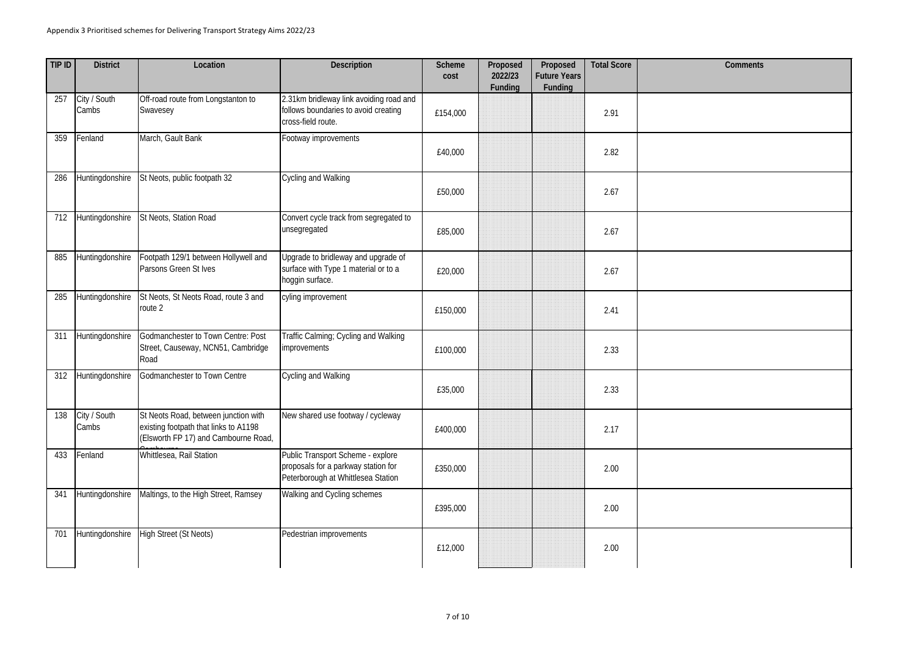| TIP ID | <b>District</b>       | Location                                                                                                              | <b>Description</b>                                                                                             | <b>Scheme</b><br>cost | Proposed<br>2022/23<br><b>Funding</b> | Proposed<br><b>Future Years</b><br><b>Funding</b> | <b>Total Score</b> | Comments |
|--------|-----------------------|-----------------------------------------------------------------------------------------------------------------------|----------------------------------------------------------------------------------------------------------------|-----------------------|---------------------------------------|---------------------------------------------------|--------------------|----------|
| 257    | City / South<br>Cambs | Off-road route from Longstanton to<br>Swavesey                                                                        | 2.31km bridleway link avoiding road and<br>follows boundaries to avoid creating<br>cross-field route.          | £154,000              |                                       |                                                   | 2.91               |          |
| 359    | Fenland               | March, Gault Bank                                                                                                     | Footway improvements                                                                                           | £40,000               |                                       |                                                   | 2.82               |          |
| 286    | Huntingdonshire       | St Neots, public footpath 32                                                                                          | Cycling and Walking                                                                                            | £50,000               |                                       |                                                   | 2.67               |          |
| 712    | Huntingdonshire       | St Neots, Station Road                                                                                                | Convert cycle track from segregated to<br>unsegregated                                                         | £85,000               |                                       |                                                   | 2.67               |          |
| 885    | Huntingdonshire       | Footpath 129/1 between Hollywell and<br>Parsons Green St Ives                                                         | Upgrade to bridleway and upgrade of<br>surface with Type 1 material or to a<br>hoggin surface.                 | £20,000               |                                       |                                                   | 2.67               |          |
| 285    | Huntingdonshire       | St Neots, St Neots Road, route 3 and<br>route 2                                                                       | cyling improvement                                                                                             | £150,000              |                                       |                                                   | 2.41               |          |
| 311    | Huntingdonshire       | Godmanchester to Town Centre: Post<br>Street, Causeway, NCN51, Cambridge<br>Road                                      | Traffic Calming; Cycling and Walking<br><i>improvements</i>                                                    | £100,000              |                                       |                                                   | 2.33               |          |
| 312    | Huntingdonshire       | Godmanchester to Town Centre                                                                                          | Cycling and Walking                                                                                            | £35,000               |                                       |                                                   | 2.33               |          |
| 138    | City / South<br>Cambs | St Neots Road, between junction with<br>existing footpath that links to A1198<br>(Elsworth FP 17) and Cambourne Road, | New shared use footway / cycleway                                                                              | £400,000              |                                       |                                                   | 2.17               |          |
| 433    | Fenland               | Whittlesea, Rail Station                                                                                              | Public Transport Scheme - explore<br>proposals for a parkway station for<br>Peterborough at Whittlesea Station | £350,000              |                                       |                                                   | 2.00               |          |
| 341    | Huntingdonshire       | Maltings, to the High Street, Ramsey                                                                                  | Walking and Cycling schemes                                                                                    | £395,000              |                                       |                                                   | 2.00               |          |
| 701    | Huntingdonshire       | <b>High Street (St Neots)</b>                                                                                         | Pedestrian improvements                                                                                        | £12,000               |                                       |                                                   | 2.00               |          |

| <b>Comments</b> |
|-----------------|
|                 |
|                 |
|                 |
|                 |
|                 |
|                 |
|                 |
|                 |
|                 |
|                 |
|                 |
|                 |
|                 |
|                 |
|                 |
|                 |
|                 |
|                 |
|                 |
|                 |
|                 |
|                 |
|                 |
|                 |
|                 |
|                 |
|                 |
|                 |
|                 |
|                 |
|                 |
|                 |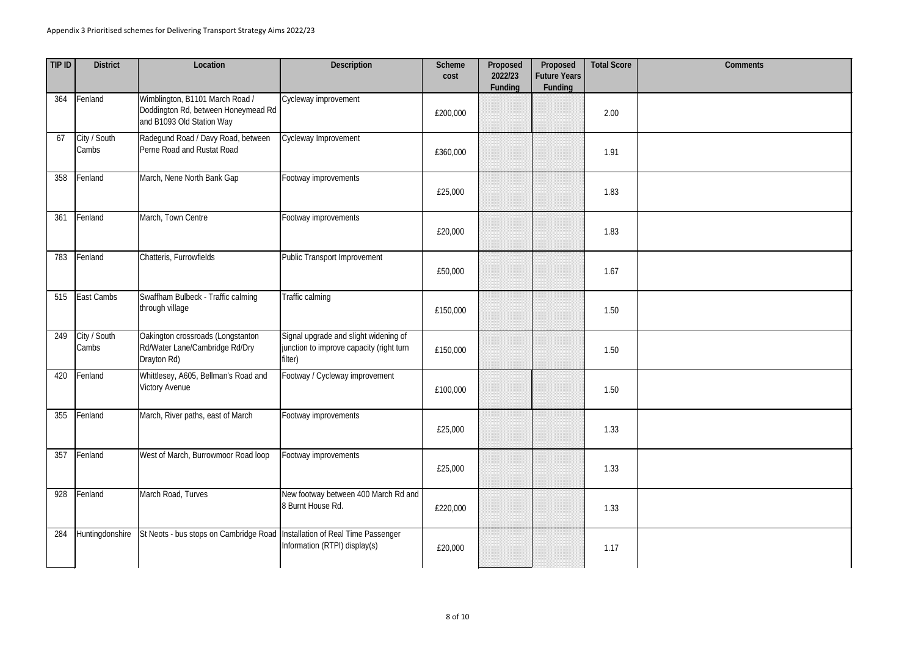| TIP ID | <b>District</b>       | Location                                                                                            | <b>Description</b>                                                                           | <b>Scheme</b><br>cost | Proposed<br>2022/23<br>Funding | Proposed<br><b>Future Years</b><br><b>Funding</b> | <b>Total Score</b> | Comments |
|--------|-----------------------|-----------------------------------------------------------------------------------------------------|----------------------------------------------------------------------------------------------|-----------------------|--------------------------------|---------------------------------------------------|--------------------|----------|
| 364    | Fenland               | Wimblington, B1101 March Road /<br>Doddington Rd, between Honeymead Rd<br>and B1093 Old Station Way | Cycleway improvement                                                                         | £200,000              |                                |                                                   | 2.00               |          |
| 67     | City / South<br>Cambs | Radegund Road / Davy Road, between<br>Perne Road and Rustat Road                                    | Cycleway Improvement                                                                         | £360,000              |                                |                                                   | 1.91               |          |
| 358    | Fenland               | March, Nene North Bank Gap                                                                          | Footway improvements                                                                         | £25,000               |                                |                                                   | 1.83               |          |
| 361    | Fenland               | March, Town Centre                                                                                  | Footway improvements                                                                         | £20,000               |                                |                                                   | 1.83               |          |
| 783    | Fenland               | Chatteris, Furrowfields                                                                             | Public Transport Improvement                                                                 | £50,000               |                                |                                                   | 1.67               |          |
| 515    | East Cambs            | Swaffham Bulbeck - Traffic calming<br>through village                                               | Traffic calming                                                                              | £150,000              |                                |                                                   | 1.50               |          |
| 249    | City / South<br>Cambs | Oakington crossroads (Longstanton<br>Rd/Water Lane/Cambridge Rd/Dry<br>Drayton Rd)                  | Signal upgrade and slight widening of<br>junction to improve capacity (right turn<br>filter) | £150,000              |                                |                                                   | 1.50               |          |
| 420    | Fenland               | Whittlesey, A605, Bellman's Road and<br><b>Victory Avenue</b>                                       | Footway / Cycleway improvement                                                               | £100,000              |                                |                                                   | 1.50               |          |
| 355    | Fenland               | March, River paths, east of March                                                                   | Footway improvements                                                                         | £25,000               |                                |                                                   | 1.33               |          |
| 357    | Fenland               | West of March, Burrowmoor Road loop                                                                 | Footway improvements                                                                         | £25,000               |                                |                                                   | 1.33               |          |
| 928    | Fenland               | March Road, Turves                                                                                  | New footway between 400 March Rd and<br>8 Burnt House Rd.                                    | £220,000              |                                |                                                   | 1.33               |          |
| 284    | Huntingdonshire       | St Neots - bus stops on Cambridge Road   Installation of Real Time Passenger                        | Information (RTPI) display(s)                                                                | £20,000               |                                |                                                   | 1.17               |          |

| <b>Comments</b> |
|-----------------|
|                 |
|                 |
|                 |
|                 |
|                 |
|                 |
|                 |
|                 |
|                 |
|                 |
|                 |
|                 |
|                 |
|                 |
|                 |
|                 |
|                 |
|                 |
|                 |
|                 |
|                 |
|                 |
|                 |
|                 |
|                 |
|                 |
|                 |
|                 |
|                 |
|                 |
|                 |
|                 |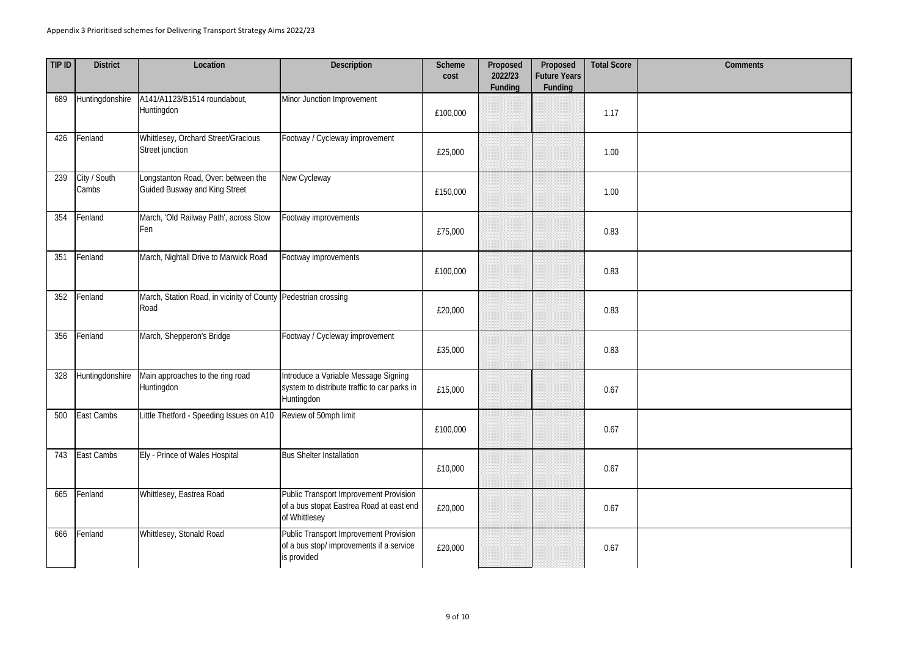| TIP ID | <b>District</b>        | Location                                                                    | <b>Description</b>                                                                                  | <b>Scheme</b><br>cost | Proposed<br>2022/23<br>Funding | Proposed<br><b>Future Years</b><br><b>Funding</b> | <b>Total Score</b> | <b>Comments</b> |
|--------|------------------------|-----------------------------------------------------------------------------|-----------------------------------------------------------------------------------------------------|-----------------------|--------------------------------|---------------------------------------------------|--------------------|-----------------|
| 689    | Huntingdonshire        | A141/A1123/B1514 roundabout,<br>Huntingdon                                  | Minor Junction Improvement                                                                          | £100,000              |                                |                                                   | 1.17               |                 |
| 426    | Fenland                | Whittlesey, Orchard Street/Gracious<br>Street junction                      | Footway / Cycleway improvement                                                                      | £25,000               |                                |                                                   | 1.00               |                 |
| 239    | City / South<br>Cambs  | Longstanton Road, Over: between the<br><b>Guided Busway and King Street</b> | New Cycleway                                                                                        | £150,000              |                                |                                                   | 1.00               |                 |
| 354    | Fenland                | March, 'Old Railway Path', across Stow<br>Fen                               | Footway improvements                                                                                | £75,000               |                                |                                                   | 0.83               |                 |
| 351    | Fenland                | March, Nightall Drive to Marwick Road                                       | Footway improvements                                                                                | £100,000              |                                |                                                   | 0.83               |                 |
| 352    | Fenland                | March, Station Road, in vicinity of County Pedestrian crossing<br>Road      |                                                                                                     | £20,000               |                                |                                                   | 0.83               |                 |
| 356    | Fenland                | March, Shepperon's Bridge                                                   | Footway / Cycleway improvement                                                                      | £35,000               |                                |                                                   | 0.83               |                 |
| 328    | <b>Huntingdonshire</b> | Main approaches to the ring road<br>Huntingdon                              | Introduce a Variable Message Signing<br>system to distribute traffic to car parks in<br>Huntingdon  | £15,000               |                                |                                                   | 0.67               |                 |
| 500    | East Cambs             | Little Thetford - Speeding Issues on A10                                    | Review of 50mph limit                                                                               | £100,000              |                                |                                                   | 0.67               |                 |
| 743    | East Cambs             | Ely - Prince of Wales Hospital                                              | <b>Bus Shelter Installation</b>                                                                     | £10,000               |                                |                                                   | 0.67               |                 |
| 665    | Fenland                | Whittlesey, Eastrea Road                                                    | Public Transport Improvement Provision<br>of a bus stopat Eastrea Road at east end<br>of Whittlesey | £20,000               |                                |                                                   | 0.67               |                 |
| 666    | Fenland                | Whittlesey, Stonald Road                                                    | Public Transport Improvement Provision<br>of a bus stop/ improvements if a service<br>is provided   | £20,000               |                                |                                                   | 0.67               |                 |

| <b>Comments</b> |
|-----------------|
|                 |
|                 |
|                 |
|                 |
|                 |
|                 |
|                 |
|                 |
|                 |
|                 |
|                 |
|                 |
|                 |
|                 |
|                 |
|                 |
|                 |
|                 |
|                 |
|                 |
|                 |
|                 |
|                 |
|                 |
|                 |
|                 |
|                 |
|                 |
|                 |
|                 |
|                 |
|                 |